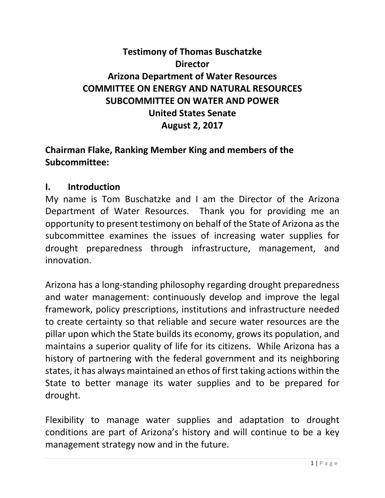# **Testimony of Thomas Buschatzke Director Arizona Department of Water Resources COMMITTEE ON ENERGY AND NATURAL RESOURCES SUBCOMMITTEE ON WATER AND POWER United States Senate August 2, 2017**

### **Chairman Flake, Ranking Member King and members of the Subcommittee:**

#### **I. Introduction**

My name is Tom Buschatzke and I am the Director of the Arizona Department of Water Resources. Thank you for providing me an opportunity to present testimony on behalf of the State of Arizona as the subcommittee examines the issues of increasing water supplies for drought preparedness through infrastructure, management, and innovation.

Arizona has a long-standing philosophy regarding drought preparedness and water management: continuously develop and improve the legal framework, policy prescriptions, institutions and infrastructure needed to create certainty so that reliable and secure water resources are the pillar upon which the State builds its economy, grows its population, and maintains a superior quality of life for its citizens. While Arizona has a history of partnering with the federal government and its neighboring states, it has always maintained an ethos of first taking actions within the State to better manage its water supplies and to be prepared for drought.

Flexibility to manage water supplies and adaptation to drought conditions are part of Arizona's history and will continue to be a key management strategy now and in the future.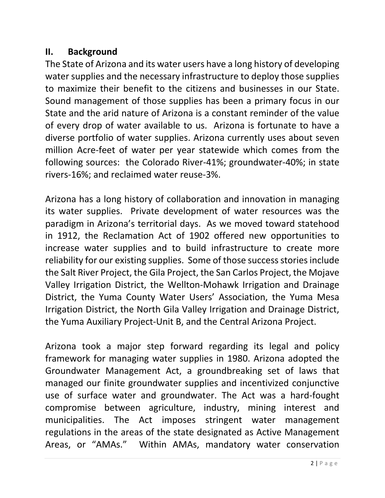### **II. Background**

The State of Arizona and its water users have a long history of developing water supplies and the necessary infrastructure to deploy those supplies to maximize their benefit to the citizens and businesses in our State. Sound management of those supplies has been a primary focus in our State and the arid nature of Arizona is a constant reminder of the value of every drop of water available to us. Arizona is fortunate to have a diverse portfolio of water supplies. Arizona currently uses about seven million Acre-feet of water per year statewide which comes from the following sources: the Colorado River-41%; groundwater-40%; in state rivers-16%; and reclaimed water reuse-3%.

Arizona has a long history of collaboration and innovation in managing its water supplies. Private development of water resources was the paradigm in Arizona's territorial days. As we moved toward statehood in 1912, the Reclamation Act of 1902 offered new opportunities to increase water supplies and to build infrastructure to create more reliability for our existing supplies. Some of those success stories include the Salt River Project, the Gila Project, the San Carlos Project, the Mojave Valley Irrigation District, the Wellton-Mohawk Irrigation and Drainage District, the Yuma County Water Users' Association, the Yuma Mesa Irrigation District, the North Gila Valley Irrigation and Drainage District, the Yuma Auxiliary Project-Unit B, and the Central Arizona Project.

Arizona took a major step forward regarding its legal and policy framework for managing water supplies in 1980. Arizona adopted the Groundwater Management Act, a groundbreaking set of laws that managed our finite groundwater supplies and incentivized conjunctive use of surface water and groundwater. The Act was a hard-fought compromise between agriculture, industry, mining interest and municipalities. The Act imposes stringent water management regulations in the areas of the state designated as Active Management Areas, or "AMAs." Within AMAs, mandatory water conservation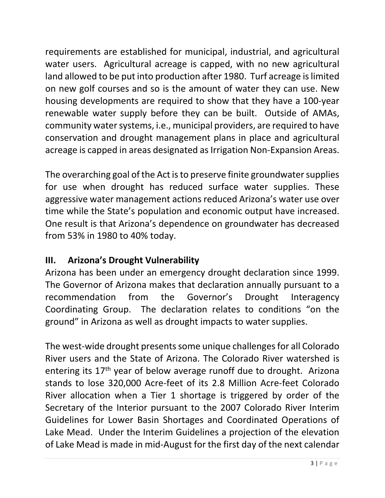requirements are established for municipal, industrial, and agricultural water users. Agricultural acreage is capped, with no new agricultural land allowed to be put into production after 1980. Turf acreage is limited on new golf courses and so is the amount of water they can use. New housing developments are required to show that they have a 100-year renewable water supply before they can be built. Outside of AMAs, community water systems, i.e., municipal providers, are required to have conservation and drought management plans in place and agricultural acreage is capped in areas designated as Irrigation Non-Expansion Areas.

The overarching goal of the Act is to preserve finite groundwater supplies for use when drought has reduced surface water supplies. These aggressive water management actions reduced Arizona's water use over time while the State's population and economic output have increased. One result is that Arizona's dependence on groundwater has decreased from 53% in 1980 to 40% today.

# **III. Arizona's Drought Vulnerability**

Arizona has been under an emergency drought declaration since 1999. The Governor of Arizona makes that declaration annually pursuant to a recommendation from the Governor's Drought Interagency Coordinating Group. The declaration relates to conditions "on the ground" in Arizona as well as drought impacts to water supplies.

The west-wide drought presents some unique challenges for all Colorado River users and the State of Arizona. The Colorado River watershed is entering its 17<sup>th</sup> year of below average runoff due to drought. Arizona stands to lose 320,000 Acre-feet of its 2.8 Million Acre-feet Colorado River allocation when a Tier 1 shortage is triggered by order of the Secretary of the Interior pursuant to the 2007 Colorado River Interim Guidelines for Lower Basin Shortages and Coordinated Operations of Lake Mead. Under the Interim Guidelines a projection of the elevation of Lake Mead is made in mid-August for the first day of the next calendar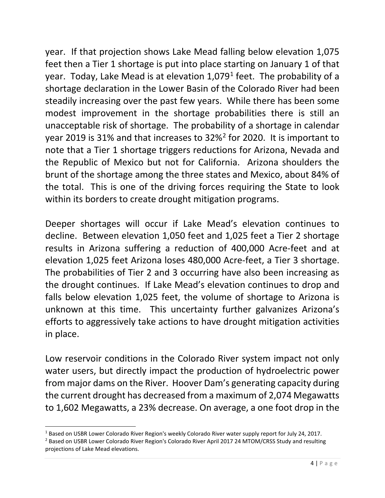year. If that projection shows Lake Mead falling below elevation 1,075 feet then a Tier 1 shortage is put into place starting on January 1 of that year. Today, Lake Mead is at elevation 1,079[1](#page-3-0) feet. The probability of a shortage declaration in the Lower Basin of the Colorado River had been steadily increasing over the past few years. While there has been some modest improvement in the shortage probabilities there is still an unacceptable risk of shortage. The probability of a shortage in calendar year 2019 is 31% and that increases to 32%[2](#page-3-1) for 2020. It is important to note that a Tier 1 shortage triggers reductions for Arizona, Nevada and the Republic of Mexico but not for California. Arizona shoulders the brunt of the shortage among the three states and Mexico, about 84% of the total. This is one of the driving forces requiring the State to look within its borders to create drought mitigation programs.

Deeper shortages will occur if Lake Mead's elevation continues to decline. Between elevation 1,050 feet and 1,025 feet a Tier 2 shortage results in Arizona suffering a reduction of 400,000 Acre-feet and at elevation 1,025 feet Arizona loses 480,000 Acre-feet, a Tier 3 shortage. The probabilities of Tier 2 and 3 occurring have also been increasing as the drought continues. If Lake Mead's elevation continues to drop and falls below elevation 1,025 feet, the volume of shortage to Arizona is unknown at this time. This uncertainty further galvanizes Arizona's efforts to aggressively take actions to have drought mitigation activities in place.

Low reservoir conditions in the Colorado River system impact not only water users, but directly impact the production of hydroelectric power from major dams on the River. Hoover Dam's generating capacity during the current drought has decreased from a maximum of 2,074 Megawatts to 1,602 Megawatts, a 23% decrease. On average, a one foot drop in the

<span id="page-3-0"></span><sup>&</sup>lt;sup>1</sup> Based on USBR Lower Colorado River Region's weekly Colorado River water supply report for July 24, 2017.

<span id="page-3-1"></span><sup>&</sup>lt;sup>2</sup> Based on USBR Lower Colorado River Region's Colorado River April 2017 24 MTOM/CRSS Study and resulting projections of Lake Mead elevations.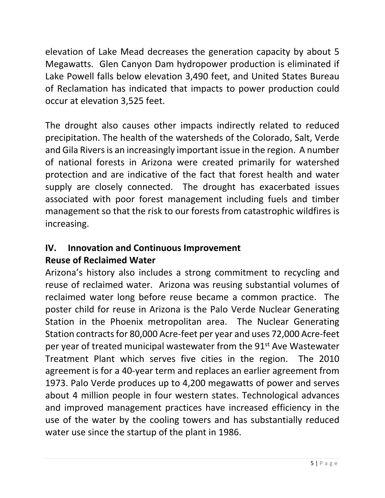elevation of Lake Mead decreases the generation capacity by about 5 Megawatts. Glen Canyon Dam hydropower production is eliminated if Lake Powell falls below elevation 3,490 feet, and United States Bureau of Reclamation has indicated that impacts to power production could occur at elevation 3,525 feet.

The drought also causes other impacts indirectly related to reduced precipitation. The health of the watersheds of the Colorado, Salt, Verde and Gila Rivers is an increasingly important issue in the region. A number of national forests in Arizona were created primarily for watershed protection and are indicative of the fact that forest health and water supply are closely connected. The drought has exacerbated issues associated with poor forest management including fuels and timber management so that the risk to our forests from catastrophic wildfires is increasing.

#### **IV. Innovation and Continuous Improvement Reuse of Reclaimed Water**

Arizona's history also includes a strong commitment to recycling and reuse of reclaimed water. Arizona was reusing substantial volumes of reclaimed water long before reuse became a common practice. The poster child for reuse in Arizona is the Palo Verde Nuclear Generating Station in the Phoenix metropolitan area. The Nuclear Generating Station contracts for 80,000 Acre-feet per year and uses 72,000 Acre-feet per year of treated municipal wastewater from the 91<sup>st</sup> Ave Wastewater Treatment Plant which serves five cities in the region. The 2010 agreement is for a 40-year term and replaces an earlier agreement from 1973. Palo Verde produces up to 4,200 megawatts of power and serves about 4 million people in four western states. Technological advances and improved management practices have increased efficiency in the use of the water by the cooling towers and has substantially reduced water use since the startup of the plant in 1986.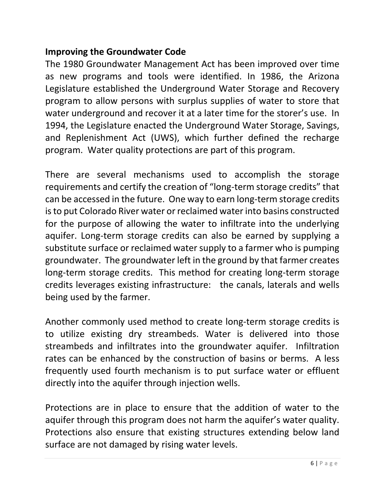### **Improving the Groundwater Code**

The 1980 Groundwater Management Act has been improved over time as new programs and tools were identified. In 1986, the Arizona Legislature established the Underground Water Storage and Recovery program to allow persons with surplus supplies of water to store that water underground and recover it at a later time for the storer's use. In 1994, the Legislature enacted the Underground Water Storage, Savings, and Replenishment Act (UWS), which further defined the recharge program. Water quality protections are part of this program.

There are several mechanisms used to accomplish the storage requirements and certify the creation of "long-term storage credits" that can be accessed in the future. One way to earn long-term storage credits is to put Colorado River water or reclaimed water into basins constructed for the purpose of allowing the water to infiltrate into the underlying aquifer. Long-term storage credits can also be earned by supplying a substitute surface or reclaimed water supply to a farmer who is pumping groundwater. The groundwater left in the ground by that farmer creates long-term storage credits. This method for creating long-term storage credits leverages existing infrastructure: the canals, laterals and wells being used by the farmer.

Another commonly used method to create long-term storage credits is to utilize existing dry streambeds. Water is delivered into those streambeds and infiltrates into the groundwater aquifer. Infiltration rates can be enhanced by the construction of basins or berms. A less frequently used fourth mechanism is to put surface water or effluent directly into the aquifer through injection wells.

Protections are in place to ensure that the addition of water to the aquifer through this program does not harm the aquifer's water quality. Protections also ensure that existing structures extending below land surface are not damaged by rising water levels.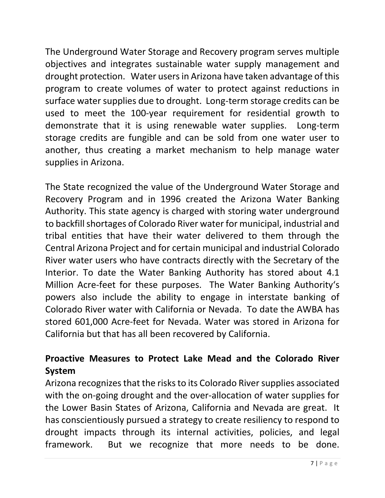The Underground Water Storage and Recovery program serves multiple objectives and integrates sustainable water supply management and drought protection. Water users in Arizona have taken advantage of this program to create volumes of water to protect against reductions in surface water supplies due to drought. Long-term storage credits can be used to meet the 100-year requirement for residential growth to demonstrate that it is using renewable water supplies. Long-term storage credits are fungible and can be sold from one water user to another, thus creating a market mechanism to help manage water supplies in Arizona.

The State recognized the value of the Underground Water Storage and Recovery Program and in 1996 created the Arizona Water Banking Authority. This state agency is charged with storing water underground to backfill shortages of Colorado River water for municipal, industrial and tribal entities that have their water delivered to them through the Central Arizona Project and for certain municipal and industrial Colorado River water users who have contracts directly with the Secretary of the Interior. To date the Water Banking Authority has stored about 4.1 Million Acre-feet for these purposes. The Water Banking Authority's powers also include the ability to engage in interstate banking of Colorado River water with California or Nevada. To date the AWBA has stored 601,000 Acre-feet for Nevada. Water was stored in Arizona for California but that has all been recovered by California.

# **Proactive Measures to Protect Lake Mead and the Colorado River System**

Arizona recognizes that the risks to its Colorado River supplies associated with the on-going drought and the over-allocation of water supplies for the Lower Basin States of Arizona, California and Nevada are great. It has conscientiously pursued a strategy to create resiliency to respond to drought impacts through its internal activities, policies, and legal framework. But we recognize that more needs to be done.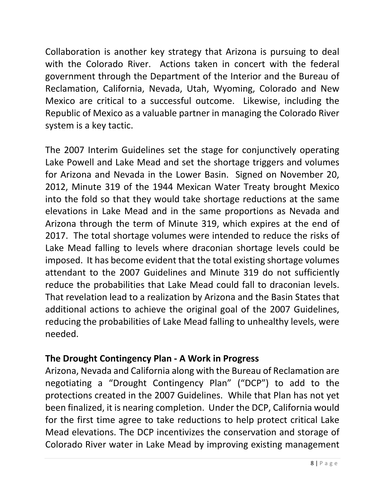Collaboration is another key strategy that Arizona is pursuing to deal with the Colorado River. Actions taken in concert with the federal government through the Department of the Interior and the Bureau of Reclamation, California, Nevada, Utah, Wyoming, Colorado and New Mexico are critical to a successful outcome. Likewise, including the Republic of Mexico as a valuable partner in managing the Colorado River system is a key tactic.

The 2007 Interim Guidelines set the stage for conjunctively operating Lake Powell and Lake Mead and set the shortage triggers and volumes for Arizona and Nevada in the Lower Basin. Signed on November 20, 2012, Minute 319 of the 1944 Mexican Water Treaty brought Mexico into the fold so that they would take shortage reductions at the same elevations in Lake Mead and in the same proportions as Nevada and Arizona through the term of Minute 319, which expires at the end of 2017. The total shortage volumes were intended to reduce the risks of Lake Mead falling to levels where draconian shortage levels could be imposed. It has become evident that the total existing shortage volumes attendant to the 2007 Guidelines and Minute 319 do not sufficiently reduce the probabilities that Lake Mead could fall to draconian levels. That revelation lead to a realization by Arizona and the Basin States that additional actions to achieve the original goal of the 2007 Guidelines, reducing the probabilities of Lake Mead falling to unhealthy levels, were needed.

### **The Drought Contingency Plan - A Work in Progress**

Arizona, Nevada and California along with the Bureau of Reclamation are negotiating a "Drought Contingency Plan" ("DCP") to add to the protections created in the 2007 Guidelines. While that Plan has not yet been finalized, it is nearing completion. Under the DCP, California would for the first time agree to take reductions to help protect critical Lake Mead elevations. The DCP incentivizes the conservation and storage of Colorado River water in Lake Mead by improving existing management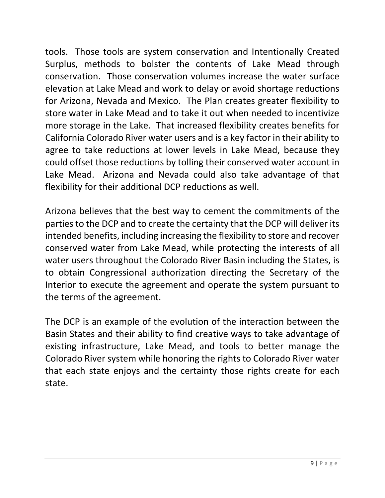tools. Those tools are system conservation and Intentionally Created Surplus, methods to bolster the contents of Lake Mead through conservation. Those conservation volumes increase the water surface elevation at Lake Mead and work to delay or avoid shortage reductions for Arizona, Nevada and Mexico. The Plan creates greater flexibility to store water in Lake Mead and to take it out when needed to incentivize more storage in the Lake. That increased flexibility creates benefits for California Colorado River water users and is a key factor in their ability to agree to take reductions at lower levels in Lake Mead, because they could offset those reductions by tolling their conserved water account in Lake Mead. Arizona and Nevada could also take advantage of that flexibility for their additional DCP reductions as well.

Arizona believes that the best way to cement the commitments of the parties to the DCP and to create the certainty that the DCP will deliver its intended benefits, including increasing the flexibility to store and recover conserved water from Lake Mead, while protecting the interests of all water users throughout the Colorado River Basin including the States, is to obtain Congressional authorization directing the Secretary of the Interior to execute the agreement and operate the system pursuant to the terms of the agreement.

The DCP is an example of the evolution of the interaction between the Basin States and their ability to find creative ways to take advantage of existing infrastructure, Lake Mead, and tools to better manage the Colorado River system while honoring the rights to Colorado River water that each state enjoys and the certainty those rights create for each state.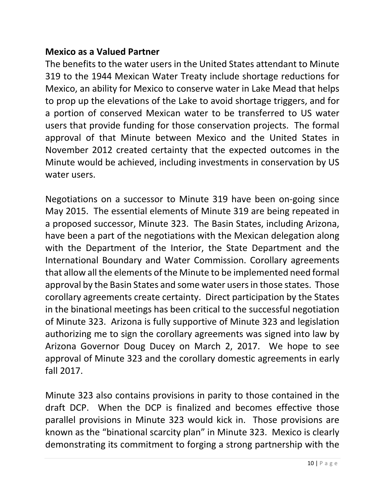#### **Mexico as a Valued Partner**

The benefits to the water users in the United States attendant to Minute 319 to the 1944 Mexican Water Treaty include shortage reductions for Mexico, an ability for Mexico to conserve water in Lake Mead that helps to prop up the elevations of the Lake to avoid shortage triggers, and for a portion of conserved Mexican water to be transferred to US water users that provide funding for those conservation projects. The formal approval of that Minute between Mexico and the United States in November 2012 created certainty that the expected outcomes in the Minute would be achieved, including investments in conservation by US water users.

Negotiations on a successor to Minute 319 have been on-going since May 2015. The essential elements of Minute 319 are being repeated in a proposed successor, Minute 323. The Basin States, including Arizona, have been a part of the negotiations with the Mexican delegation along with the Department of the Interior, the State Department and the International Boundary and Water Commission. Corollary agreements that allow all the elements of the Minute to be implemented need formal approval by the Basin States and some water users in those states. Those corollary agreements create certainty. Direct participation by the States in the binational meetings has been critical to the successful negotiation of Minute 323. Arizona is fully supportive of Minute 323 and legislation authorizing me to sign the corollary agreements was signed into law by Arizona Governor Doug Ducey on March 2, 2017. We hope to see approval of Minute 323 and the corollary domestic agreements in early fall 2017.

Minute 323 also contains provisions in parity to those contained in the draft DCP. When the DCP is finalized and becomes effective those parallel provisions in Minute 323 would kick in. Those provisions are known as the "binational scarcity plan" in Minute 323. Mexico is clearly demonstrating its commitment to forging a strong partnership with the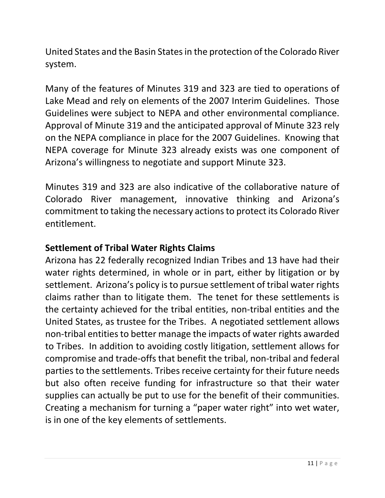United States and the Basin States in the protection of the Colorado River system.

Many of the features of Minutes 319 and 323 are tied to operations of Lake Mead and rely on elements of the 2007 Interim Guidelines. Those Guidelines were subject to NEPA and other environmental compliance. Approval of Minute 319 and the anticipated approval of Minute 323 rely on the NEPA compliance in place for the 2007 Guidelines. Knowing that NEPA coverage for Minute 323 already exists was one component of Arizona's willingness to negotiate and support Minute 323.

Minutes 319 and 323 are also indicative of the collaborative nature of Colorado River management, innovative thinking and Arizona's commitment to taking the necessary actions to protect its Colorado River entitlement.

### **Settlement of Tribal Water Rights Claims**

Arizona has 22 federally recognized Indian Tribes and 13 have had their water rights determined, in whole or in part, either by litigation or by settlement. Arizona's policy is to pursue settlement of tribal water rights claims rather than to litigate them. The tenet for these settlements is the certainty achieved for the tribal entities, non-tribal entities and the United States, as trustee for the Tribes. A negotiated settlement allows non-tribal entities to better manage the impacts of water rights awarded to Tribes. In addition to avoiding costly litigation, settlement allows for compromise and trade-offs that benefit the tribal, non-tribal and federal parties to the settlements. Tribes receive certainty for their future needs but also often receive funding for infrastructure so that their water supplies can actually be put to use for the benefit of their communities. Creating a mechanism for turning a "paper water right" into wet water, is in one of the key elements of settlements.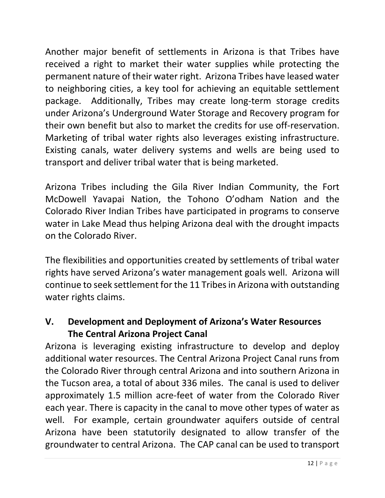Another major benefit of settlements in Arizona is that Tribes have received a right to market their water supplies while protecting the permanent nature of their water right. Arizona Tribes have leased water to neighboring cities, a key tool for achieving an equitable settlement package. Additionally, Tribes may create long-term storage credits under Arizona's Underground Water Storage and Recovery program for their own benefit but also to market the credits for use off-reservation. Marketing of tribal water rights also leverages existing infrastructure. Existing canals, water delivery systems and wells are being used to transport and deliver tribal water that is being marketed.

Arizona Tribes including the Gila River Indian Community, the Fort McDowell Yavapai Nation, the Tohono O'odham Nation and the Colorado River Indian Tribes have participated in programs to conserve water in Lake Mead thus helping Arizona deal with the drought impacts on the Colorado River.

The flexibilities and opportunities created by settlements of tribal water rights have served Arizona's water management goals well. Arizona will continue to seek settlement for the 11 Tribes in Arizona with outstanding water rights claims.

## **V. Development and Deployment of Arizona's Water Resources The Central Arizona Project Canal**

Arizona is leveraging existing infrastructure to develop and deploy additional water resources. The Central Arizona Project Canal runs from the Colorado River through central Arizona and into southern Arizona in the Tucson area, a total of about 336 miles. The canal is used to deliver approximately 1.5 million acre-feet of water from the Colorado River each year. There is capacity in the canal to move other types of water as well. For example, certain groundwater aquifers outside of central Arizona have been statutorily designated to allow transfer of the groundwater to central Arizona. The CAP canal can be used to transport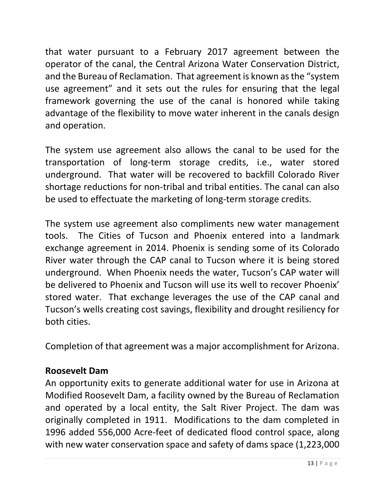that water pursuant to a February 2017 agreement between the operator of the canal, the Central Arizona Water Conservation District, and the Bureau of Reclamation. That agreement is known as the "system use agreement" and it sets out the rules for ensuring that the legal framework governing the use of the canal is honored while taking advantage of the flexibility to move water inherent in the canals design and operation.

The system use agreement also allows the canal to be used for the transportation of long-term storage credits, i.e., water stored underground. That water will be recovered to backfill Colorado River shortage reductions for non-tribal and tribal entities. The canal can also be used to effectuate the marketing of long-term storage credits.

The system use agreement also compliments new water management tools. The Cities of Tucson and Phoenix entered into a landmark exchange agreement in 2014. Phoenix is sending some of its Colorado River water through the CAP canal to Tucson where it is being stored underground. When Phoenix needs the water, Tucson's CAP water will be delivered to Phoenix and Tucson will use its well to recover Phoenix' stored water. That exchange leverages the use of the CAP canal and Tucson's wells creating cost savings, flexibility and drought resiliency for both cities.

Completion of that agreement was a major accomplishment for Arizona.

### **Roosevelt Dam**

An opportunity exits to generate additional water for use in Arizona at Modified Roosevelt Dam, a facility owned by the Bureau of Reclamation and operated by a local entity, the Salt River Project. The dam was originally completed in 1911. Modifications to the dam completed in 1996 added 556,000 Acre-feet of dedicated flood control space, along with new water conservation space and safety of dams space (1,223,000)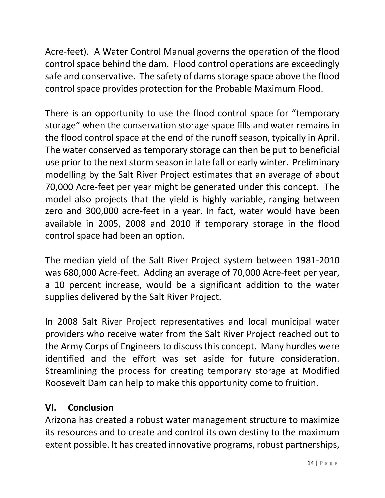Acre-feet). A Water Control Manual governs the operation of the flood control space behind the dam. Flood control operations are exceedingly safe and conservative. The safety of dams storage space above the flood control space provides protection for the Probable Maximum Flood.

There is an opportunity to use the flood control space for "temporary storage" when the conservation storage space fills and water remains in the flood control space at the end of the runoff season, typically in April. The water conserved as temporary storage can then be put to beneficial use prior to the next storm season in late fall or early winter. Preliminary modelling by the Salt River Project estimates that an average of about 70,000 Acre-feet per year might be generated under this concept. The model also projects that the yield is highly variable, ranging between zero and 300,000 acre-feet in a year. In fact, water would have been available in 2005, 2008 and 2010 if temporary storage in the flood control space had been an option.

The median yield of the Salt River Project system between 1981-2010 was 680,000 Acre-feet. Adding an average of 70,000 Acre-feet per year, a 10 percent increase, would be a significant addition to the water supplies delivered by the Salt River Project.

In 2008 Salt River Project representatives and local municipal water providers who receive water from the Salt River Project reached out to the Army Corps of Engineers to discuss this concept. Many hurdles were identified and the effort was set aside for future consideration. Streamlining the process for creating temporary storage at Modified Roosevelt Dam can help to make this opportunity come to fruition.

## **VI. Conclusion**

Arizona has created a robust water management structure to maximize its resources and to create and control its own destiny to the maximum extent possible. It has created innovative programs, robust partnerships,